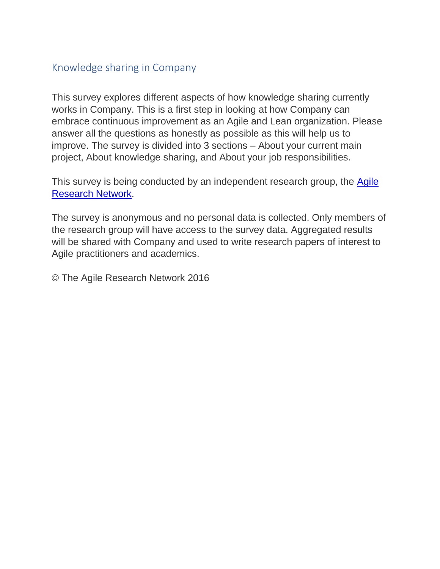## Knowledge sharing in Company

This survey explores different aspects of how knowledge sharing currently works in Company. This is a first step in looking at how Company can embrace continuous improvement as an Agile and Lean organization. Please answer all the questions as honestly as possible as this will help us to improve. The survey is divided into 3 sections – About your current main project, About knowledge sharing, and About your job responsibilities.

This survey is being conducted by an independent research group, the [Agile](http://www.agileresearchnetwork.org/)  [Research Network.](http://www.agileresearchnetwork.org/)

The survey is anonymous and no personal data is collected. Only members of the research group will have access to the survey data. Aggregated results will be shared with Company and used to write research papers of interest to Agile practitioners and academics.

© The Agile Research Network 2016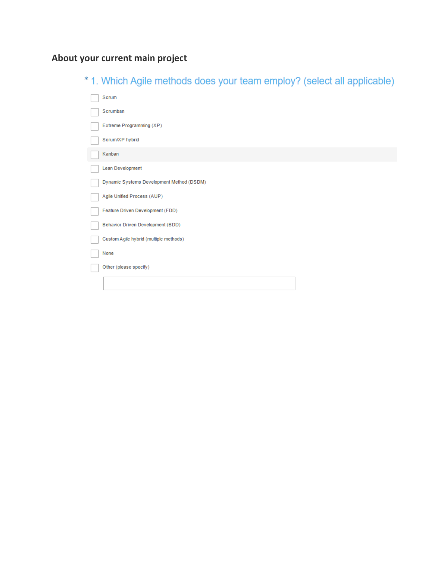# **About your current main project**

|  |  |  |  |  | * 1. Which Agile methods does your team employ? (select all applicable) |  |
|--|--|--|--|--|-------------------------------------------------------------------------|--|
|--|--|--|--|--|-------------------------------------------------------------------------|--|

| Scrum                                     |
|-------------------------------------------|
| Scrumban                                  |
| Extreme Programming (XP)                  |
| Scrum/XP hybrid                           |
| Kanban                                    |
| Lean Development                          |
| Dynamic Systems Development Method (DSDM) |
| Agile Unified Process (AUP)               |
| Feature Driven Development (FDD)          |
| Behavior Driven Development (BDD)         |
| Custom Agile hybrid (multiple methods)    |
| None                                      |
| Other (please specify)                    |
|                                           |
|                                           |
|                                           |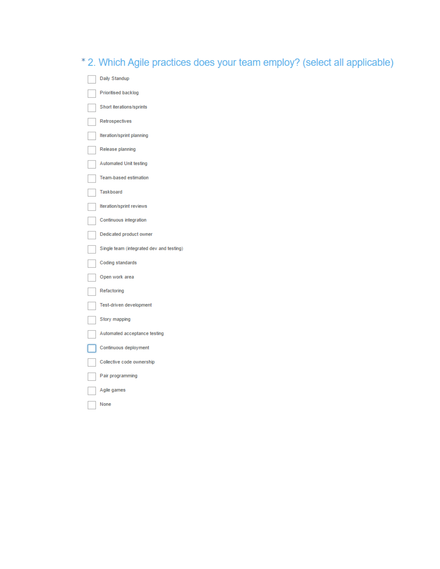| * 2. Which Agile practices does your team employ? (select all applicable) |
|---------------------------------------------------------------------------|
| Daily Standup                                                             |
| Prioritised backlog                                                       |
| Short iterations/sprints                                                  |
| Retrospectives                                                            |
| Iteration/sprint planning                                                 |
| Release planning                                                          |
| <b>Automated Unit testing</b>                                             |
| Team-based estimation                                                     |
| Taskboard                                                                 |
| Iteration/sprint reviews                                                  |
| Continuous integration                                                    |
| Dedicated product owner                                                   |
| Single team (integrated dev and testing)                                  |
| Coding standards                                                          |
| Open work area                                                            |
| Refactoring                                                               |
| Test-driven development                                                   |
| Story mapping                                                             |
| Automated acceptance testing                                              |
| Continuous deployment                                                     |

Collective code ownership

Pair programming

Agile games ٦

None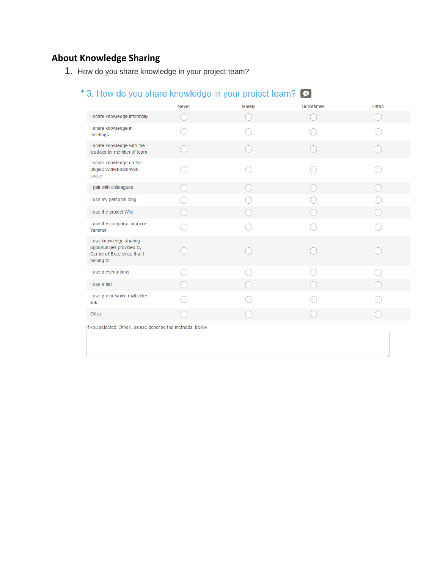## **About Knowledge Sharing**

1. How do you share knowledge in your project team?

## \*3. How do you share knowledge in your project team?  $\bullet$

|                                                                                                  | Never | Rarely | Sometimes | Often |  |  |
|--------------------------------------------------------------------------------------------------|-------|--------|-----------|-------|--|--|
| I share knowledge informally                                                                     |       |        |           |       |  |  |
| I share knowledge in<br>meetings                                                                 |       |        |           |       |  |  |
| I share knowledge with the<br>lead/senior member of team                                         |       |        |           |       |  |  |
| I share knowledge on the<br>project Whiteboard/wall<br>space                                     |       |        |           |       |  |  |
| I pair with colleagues                                                                           |       |        |           |       |  |  |
| I use my personal blog                                                                           |       |        |           |       |  |  |
| I use the project Wiki                                                                           |       |        |           |       |  |  |
| I use the company forum i.e.<br>Yammer                                                           |       |        |           |       |  |  |
| I use knowledge sharing<br>opportunities provided by<br>Centre of Excellence that I<br>belong to |       |        |           |       |  |  |
| I use presentations                                                                              |       |        |           |       |  |  |
| I use email                                                                                      |       |        |           |       |  |  |
| I use phone/voice mail/video<br>link                                                             |       |        |           |       |  |  |
| Other                                                                                            |       |        |           |       |  |  |
| If you selected 'Other', please describe the methods below.                                      |       |        |           |       |  |  |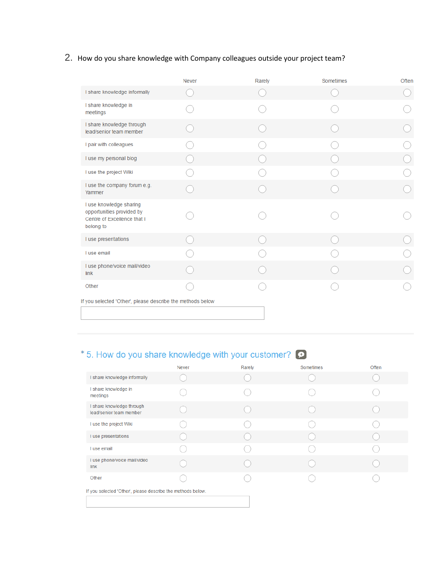## 2. How do you share knowledge with Company colleagues outside your project team?

|                                                                                                  | <b>Never</b> | Rarely | Sometimes | Often |
|--------------------------------------------------------------------------------------------------|--------------|--------|-----------|-------|
| I share knowledge informally                                                                     |              |        |           |       |
| I share knowledge in<br>meetings                                                                 |              |        |           |       |
| I share knowledge through<br>lead/senior team member                                             |              |        |           |       |
| I pair with colleagues                                                                           |              |        |           |       |
| I use my personal blog                                                                           |              |        |           |       |
| I use the project Wiki                                                                           |              |        |           |       |
| I use the company forum e.g.<br>Yammer                                                           |              |        |           |       |
| I use knowledge sharing<br>opportunities provided by<br>Centre of Excellence that I<br>belong to |              |        |           |       |
| I use presentations                                                                              |              |        |           |       |
| I use email                                                                                      |              |        |           |       |
| I use phone/voice mail/video<br>link                                                             |              |        |           |       |
| Other                                                                                            |              |        |           |       |
| If you selected 'Other', please describe the methods below                                       |              |        |           |       |

# \*5. How do you share knowledge with your customer?  $\bullet$

|                                                             | <b>Never</b> | Rarely | Sometimes | Often |  |
|-------------------------------------------------------------|--------------|--------|-----------|-------|--|
| I share knowledge informally                                |              |        |           |       |  |
| I share knowledge in<br>meetings                            |              |        |           |       |  |
| I share knowledge through<br>lead/senior team member        |              |        |           |       |  |
| I use the project Wiki                                      |              |        |           |       |  |
| I use presentations                                         |              |        |           |       |  |
| I use email                                                 |              |        |           |       |  |
| I use phone/voice mail/video<br>link                        |              |        |           |       |  |
| Other                                                       |              |        |           |       |  |
| If you selected 'Other', please describe the methods below. |              |        |           |       |  |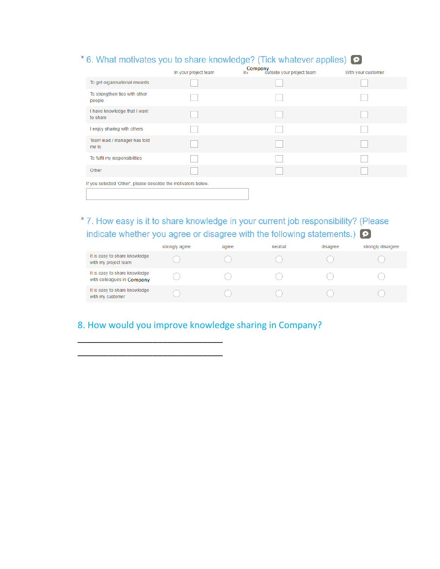# \* 6. What motivates you to share knowledge? (Tick whatever applies)  $\bigodot$

|                                                                | In your project team | Company<br>ni outside your project team<br>In i | With your customer |
|----------------------------------------------------------------|----------------------|-------------------------------------------------|--------------------|
| To get organisational rewards                                  |                      |                                                 |                    |
| To strengthen ties with other<br>people                        |                      |                                                 |                    |
| I have knowledge that I want<br>to share                       |                      |                                                 |                    |
| I enjoy sharing with others                                    |                      |                                                 |                    |
| Team lead / manager has told<br>me to                          |                      |                                                 |                    |
| To fulfil my responsibilities                                  |                      |                                                 |                    |
| Other                                                          |                      |                                                 |                    |
| If you selected 'Other', please describe the motivators below. |                      |                                                 |                    |

## \*7. How easy is it to share knowledge in your current job responsibility? (Please indicate whether you agree or disagree with the following statements.)  $\bullet$

|                                                             | strongly agree | agree | neutral | disagree | strongly disargree |
|-------------------------------------------------------------|----------------|-------|---------|----------|--------------------|
| It is easy to share knowledge<br>with my project team       |                |       |         |          |                    |
| It is easy to share knowledge<br>with colleagues in Company |                |       |         |          |                    |
| It is easy to share knowledge<br>with my customer           |                |       |         |          |                    |

## 8. How would you improve knowledge sharing in Company?

\_\_\_\_\_\_\_\_\_\_\_\_\_\_\_\_\_\_\_\_\_\_\_\_\_\_\_\_\_ \_\_\_\_\_\_\_\_\_\_\_\_\_\_\_\_\_\_\_\_\_\_\_\_\_\_\_\_\_